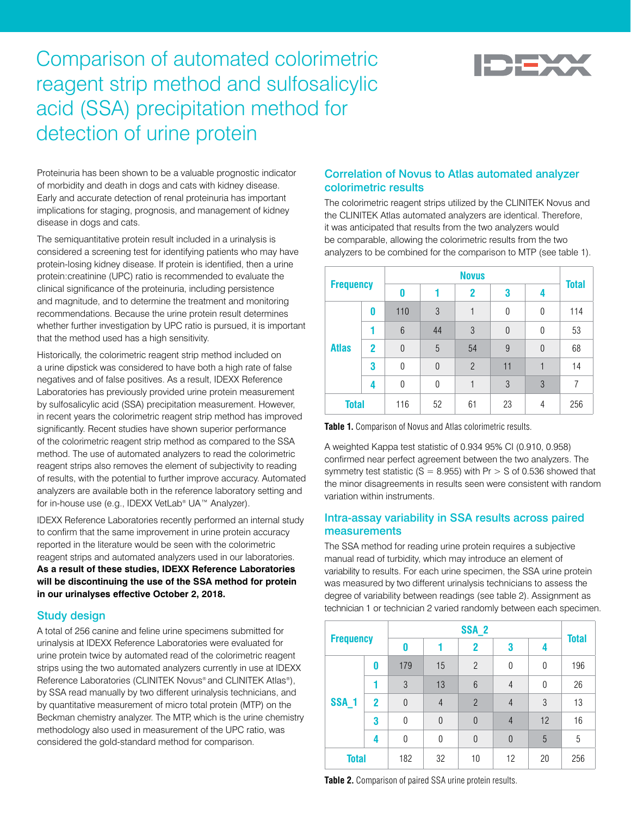

# Comparison of automated colorimetric reagent strip method and sulfosalicylic acid (SSA) precipitation method for detection of urine protein

Proteinuria has been shown to be a valuable prognostic indicator of morbidity and death in dogs and cats with kidney disease. Early and accurate detection of renal proteinuria has important implications for staging, prognosis, and management of kidney disease in dogs and cats.

The semiquantitative protein result included in a urinalysis is considered a screening test for identifying patients who may have protein-losing kidney disease. If protein is identified, then a urine protein:creatinine (UPC) ratio is recommended to evaluate the clinical significance of the proteinuria, including persistence and magnitude, and to determine the treatment and monitoring recommendations. Because the urine protein result determines whether further investigation by UPC ratio is pursued, it is important that the method used has a high sensitivity.

Historically, the colorimetric reagent strip method included on a urine dipstick was considered to have both a high rate of false negatives and of false positives. As a result, IDEXX Reference Laboratories has previously provided urine protein measurement by sulfosalicylic acid (SSA) precipitation measurement. However, in recent years the colorimetric reagent strip method has improved significantly. Recent studies have shown superior performance of the colorimetric reagent strip method as compared to the SSA method. The use of automated analyzers to read the colorimetric reagent strips also removes the element of subjectivity to reading of results, with the potential to further improve accuracy. Automated analyzers are available both in the reference laboratory setting and for in-house use (e.g., IDEXX VetLab® UA™ Analyzer).

IDEXX Reference Laboratories recently performed an internal study to confirm that the same improvement in urine protein accuracy reported in the literature would be seen with the colorimetric reagent strips and automated analyzers used in our laboratories. **As a result of these studies, IDEXX Reference Laboratories will be discontinuing the use of the SSA method for protein in our urinalyses effective October 2, 2018.**

### Study design

A total of 256 canine and feline urine specimens submitted for urinalysis at IDEXX Reference Laboratories were evaluated for urine protein twice by automated read of the colorimetric reagent strips using the two automated analyzers currently in use at IDEXX Reference Laboratories (CLINITEK Novus® and CLINITEK Atlas®), by SSA read manually by two different urinalysis technicians, and by quantitative measurement of micro total protein (MTP) on the Beckman chemistry analyzer. The MTP, which is the urine chemistry methodology also used in measurement of the UPC ratio, was considered the gold-standard method for comparison.

## Correlation of Novus to Atlas automated analyzer colorimetric results

The colorimetric reagent strips utilized by the CLINITEK Novus and the CLINITEK Atlas automated analyzers are identical. Therefore, it was anticipated that results from the two analyzers would be comparable, allowing the colorimetric results from the two analyzers to be combined for the comparison to MTP (see table 1).

| <b>Frequency</b> |                | <b>Novus</b> |                |                |          |                | <b>Total</b> |
|------------------|----------------|--------------|----------------|----------------|----------|----------------|--------------|
|                  |                | 0            |                | $\mathbf 2$    | 3        | 4              |              |
| <b>Atlas</b>     | 0              | 110          | 3              |                | 0        | 0              | 114          |
|                  |                | 6            | 44             | 3              | $\Omega$ | $\Omega$       | 53           |
|                  | $\overline{2}$ | $\theta$     | 5              | 54             | 9        | $\overline{0}$ | 68           |
|                  | 3              | 0            | $\overline{0}$ | $\mathfrak{p}$ | 11       | 1              | 14           |
|                  | 4              | 0            | $\mathbf{0}$   |                | 3        | 3              | 7            |
| <b>Total</b>     |                | 116          | 52             | 61             | 23       | 4              | 256          |

**Table 1.** Comparison of Novus and Atlas colorimetric results.

A weighted Kappa test statistic of 0.934 95% CI (0.910, 0.958) confirmed near perfect agreement between the two analyzers. The symmetry test statistic (S = 8.955) with  $Pr > S$  of 0.536 showed that the minor disagreements in results seen were consistent with random variation within instruments.

## Intra-assay variability in SSA results across paired measurements

The SSA method for reading urine protein requires a subjective manual read of turbidity, which may introduce an element of variability to results. For each urine specimen, the SSA urine protein was measured by two different urinalysis technicians to assess the degree of variability between readings (see table 2). Assignment as technician 1 or technician 2 varied randomly between each specimen.

| <b>Frequency</b> |                | SSA <sub>2</sub> |                |                 |                |          |              |
|------------------|----------------|------------------|----------------|-----------------|----------------|----------|--------------|
|                  |                | 0                |                | 2               | 3              | 4        | <b>Total</b> |
| SSA <sub>1</sub> | 0              | 179              | 15             | $\overline{2}$  | 0              | $\Omega$ | 196          |
|                  |                | 3                | 13             | $6\phantom{1}6$ | $\overline{4}$ | $\Omega$ | 26           |
|                  | $\overline{2}$ | $\Omega$         | $\overline{4}$ | $\overline{2}$  | $\overline{4}$ | 3        | 13           |
|                  | 3              | $\Omega$         | 0              | $\theta$        | $\overline{4}$ | 12       | 16           |
|                  | 4              | 0                | 0              | $\theta$        | $\overline{0}$ | 5        | 5            |
| <b>Total</b>     |                | 182              | 32             | 10              | 12             | 20       | 256          |

**Table 2.** Comparison of paired SSA urine protein results.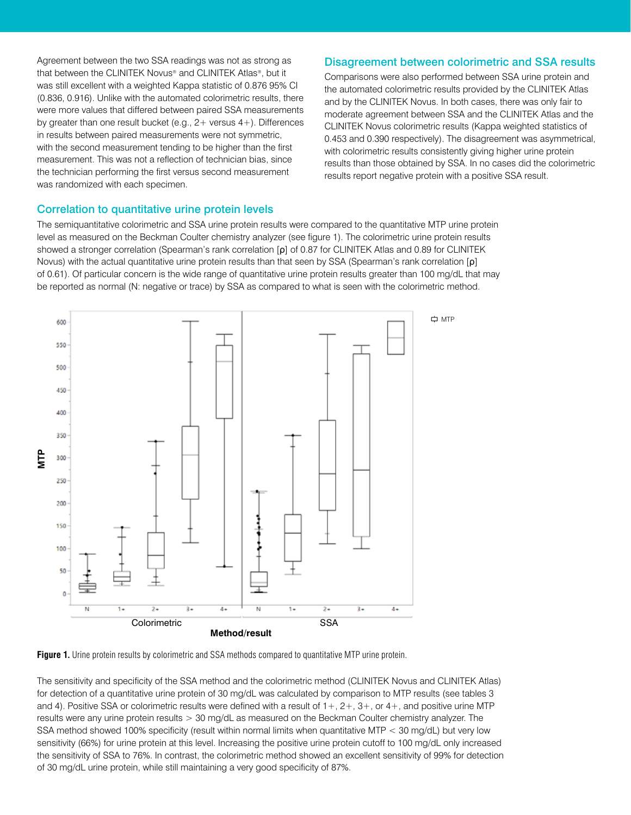Agreement between the two SSA readings was not as strong as that between the CLINITEK Novus® and CLINITEK Atlas®, but it was still excellent with a weighted Kappa statistic of 0.876 95% CI (0.836, 0.916). Unlike with the automated colorimetric results, there were more values that differed between paired SSA measurements by greater than one result bucket (e.g., 2+ versus 4+). Differences in results between paired measurements were not symmetric, with the second measurement tending to be higher than the first measurement. This was not a reflection of technician bias, since the technician performing the first versus second measurement was randomized with each specimen.

#### Disagreement between colorimetric and SSA results

Comparisons were also performed between SSA urine protein and the automated colorimetric results provided by the CLINITEK Atlas and by the CLINITEK Novus. In both cases, there was only fair to moderate agreement between SSA and the CLINITEK Atlas and the CLINITEK Novus colorimetric results (Kappa weighted statistics of 0.453 and 0.390 respectively). The disagreement was asymmetrical, with colorimetric results consistently giving higher urine protein results than those obtained by SSA. In no cases did the colorimetric results report negative protein with a positive SSA result.

#### Correlation to quantitative urine protein levels

The semiquantitative colorimetric and SSA urine protein results were compared to the quantitative MTP urine protein level as measured on the Beckman Coulter chemistry analyzer (see figure 1). The colorimetric urine protein results showed a stronger correlation (Spearman's rank correlation [ρ] of 0.87 for CLINITEK Atlas and 0.89 for CLINITEK Novus) with the actual quantitative urine protein results than that seen by SSA (Spearman's rank correlation [ρ] of 0.61). Of particular concern is the wide range of quantitative urine protein results greater than 100 mg/dL that may be reported as normal (N: negative or trace) by SSA as compared to what is seen with the colorimetric method.





The sensitivity and specificity of the SSA method and the colorimetric method (CLINITEK Novus and CLINITEK Atlas) for detection of a quantitative urine protein of 30 mg/dL was calculated by comparison to MTP results (see tables 3 and 4). Positive SSA or colorimetric results were defined with a result of  $1+, 2+, 3+,$  or  $4+,$  and positive urine MTP results were any urine protein results > 30 mg/dL as measured on the Beckman Coulter chemistry analyzer. The SSA method showed 100% specificity (result within normal limits when quantitative MTP < 30 mg/dL) but very low sensitivity (66%) for urine protein at this level. Increasing the positive urine protein cutoff to 100 mg/dL only increased the sensitivity of SSA to 76%. In contrast, the colorimetric method showed an excellent sensitivity of 99% for detection of 30 mg/dL urine protein, while still maintaining a very good specificity of 87%.